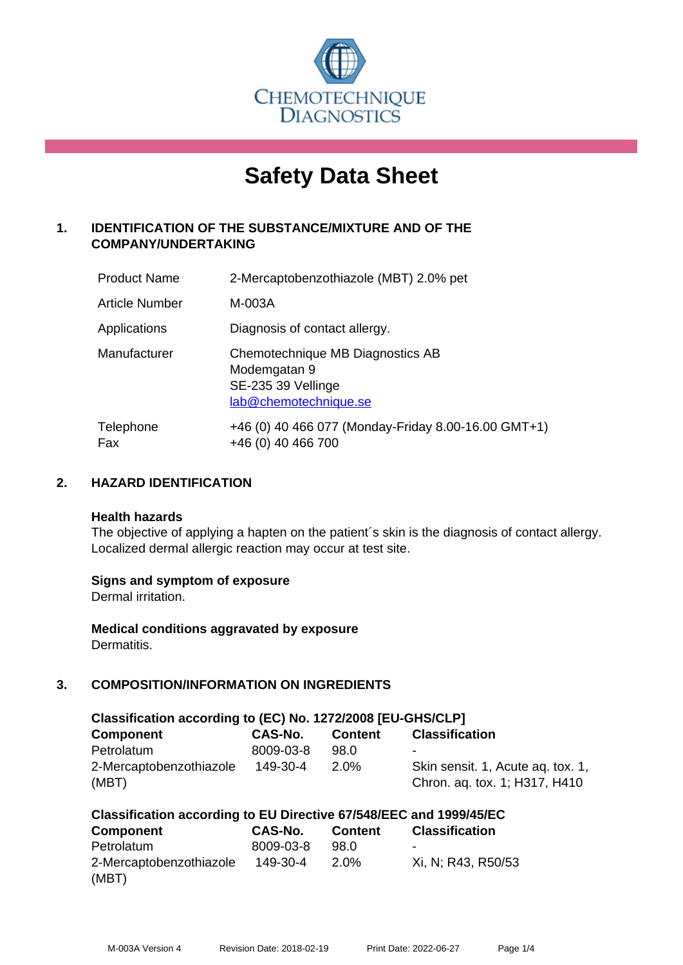

# **Safety Data Sheet**

# **1. IDENTIFICATION OF THE SUBSTANCE/MIXTURE AND OF THE COMPANY/UNDERTAKING**

| <b>Product Name</b> | 2-Mercaptobenzothiazole (MBT) 2.0% pet                                                          |
|---------------------|-------------------------------------------------------------------------------------------------|
| Article Number      | M-003A                                                                                          |
| Applications        | Diagnosis of contact allergy.                                                                   |
| Manufacturer        | Chemotechnique MB Diagnostics AB<br>Modemgatan 9<br>SE-235 39 Vellinge<br>lab@chemotechnique.se |
| Telephone<br>Fax    | +46 (0) 40 466 077 (Monday-Friday 8.00-16.00 GMT+1)<br>+46 (0) 40 466 700                       |

## **2. HAZARD IDENTIFICATION**

#### **Health hazards**

The objective of applying a hapten on the patient's skin is the diagnosis of contact allergy. Localized dermal allergic reaction may occur at test site.

## **Signs and symptom of exposure**

Dermal irritation.

**Medical conditions aggravated by exposure** Dermatitis.

# **3. COMPOSITION/INFORMATION ON INGREDIENTS**

| Classification according to (EC) No. 1272/2008 [EU-GHS/CLP] |           |                |                                                                    |  |
|-------------------------------------------------------------|-----------|----------------|--------------------------------------------------------------------|--|
| <b>Component</b>                                            | CAS-No.   | <b>Content</b> | <b>Classification</b>                                              |  |
| Petrolatum                                                  | 8009-03-8 | 98.0           | ۰                                                                  |  |
| 2-Mercaptobenzothiazole<br>(MBT)                            | 149-30-4  | $2.0\%$        | Skin sensit. 1, Acute ag. tox. 1,<br>Chron. aq. tox. 1; H317, H410 |  |

| Classification according to EU Directive 67/548/EEC and 1999/45/EC |           |                |                       |  |
|--------------------------------------------------------------------|-----------|----------------|-----------------------|--|
| <b>Component</b>                                                   | CAS-No.   | <b>Content</b> | <b>Classification</b> |  |
| Petrolatum                                                         | 8009-03-8 | 98.0           | -                     |  |
| 2-Mercaptobenzothiazole                                            | 149-30-4  | $2.0\%$        | Xi, N; R43, R50/53    |  |
| (MBT)                                                              |           |                |                       |  |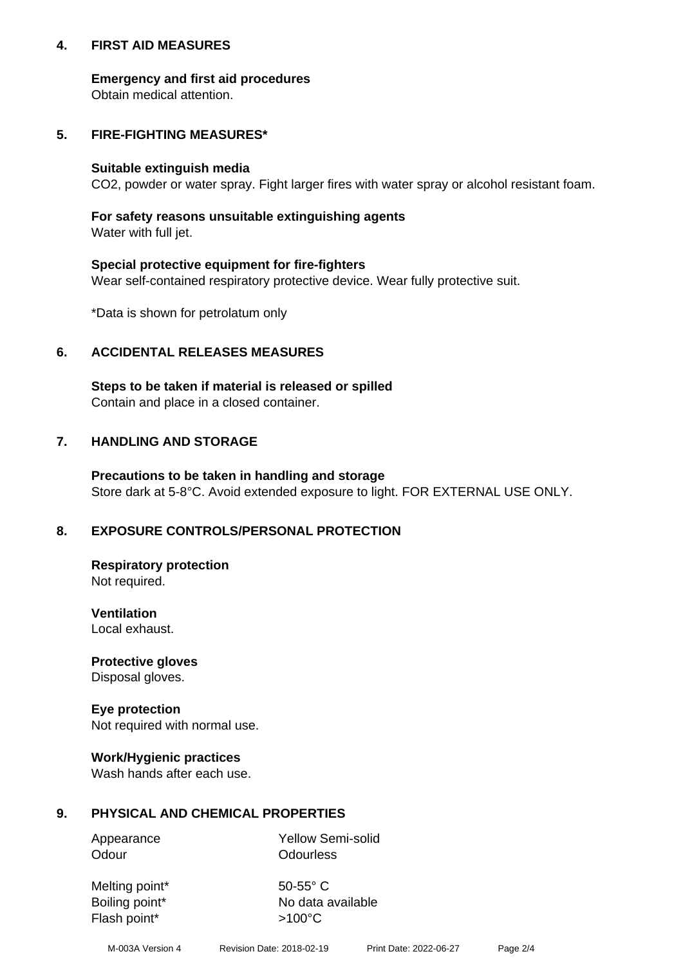## **4. FIRST AID MEASURES**

## **Emergency and first aid procedures**

Obtain medical attention.

# **5. FIRE-FIGHTING MEASURES\***

#### **Suitable extinguish media**

CO2, powder or water spray. Fight larger fires with water spray or alcohol resistant foam.

# **For safety reasons unsuitable extinguishing agents**

Water with full jet.

## **Special protective equipment for fire-fighters**

Wear self-contained respiratory protective device. Wear fully protective suit.

\*Data is shown for petrolatum only

## **6. ACCIDENTAL RELEASES MEASURES**

**Steps to be taken if material is released or spilled** Contain and place in a closed container.

# **7. HANDLING AND STORAGE**

**Precautions to be taken in handling and storage** Store dark at 5-8°C. Avoid extended exposure to light. FOR EXTERNAL USE ONLY.

# **8. EXPOSURE CONTROLS/PERSONAL PROTECTION**

**Respiratory protection** Not required.

**Ventilation** Local exhaust.

**Protective gloves** Disposal gloves.

#### **Eye protection** Not required with normal use.

## **Work/Hygienic practices**

Wash hands after each use.

## **9. PHYSICAL AND CHEMICAL PROPERTIES**

Odour **Odourless** 

Appearance Yellow Semi-solid

Melting point\* 50-55° C Flash point\*  $>100^{\circ}$ C

Boiling point\* No data available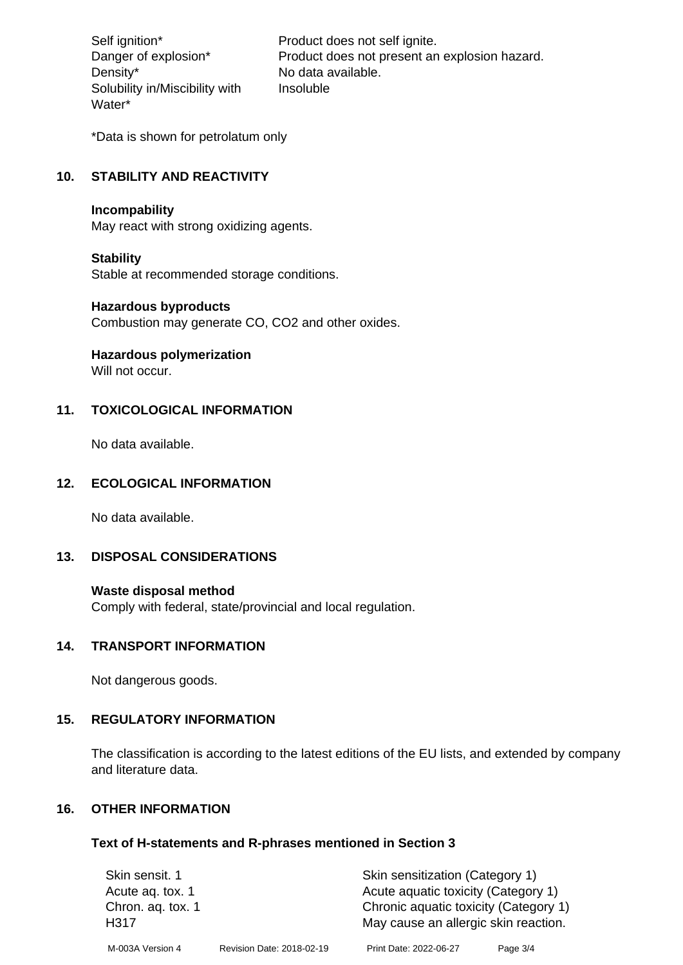Density\* No data available. Solubility in/Miscibility with Water\*

Self ignition\* Product does not self ignite. Danger of explosion\* Product does not present an explosion hazard. Insoluble

\*Data is shown for petrolatum only

# **10. STABILITY AND REACTIVITY**

#### **Incompability**

May react with strong oxidizing agents.

#### **Stability**

Stable at recommended storage conditions.

#### **Hazardous byproducts**

Combustion may generate CO, CO2 and other oxides.

**Hazardous polymerization**

Will not occur.

## **11. TOXICOLOGICAL INFORMATION**

No data available.

## **12. ECOLOGICAL INFORMATION**

No data available.

## **13. DISPOSAL CONSIDERATIONS**

#### **Waste disposal method**

Comply with federal, state/provincial and local regulation.

#### **14. TRANSPORT INFORMATION**

Not dangerous goods.

## **15. REGULATORY INFORMATION**

The classification is according to the latest editions of the EU lists, and extended by company and literature data.

## **16. OTHER INFORMATION**

#### **Text of H-statements and R-phrases mentioned in Section 3**

| Skin sensit. 1            |                           | Skin sensitization (Category 1)                                               |          |
|---------------------------|---------------------------|-------------------------------------------------------------------------------|----------|
| Acute ag. tox. 1          |                           | Acute aquatic toxicity (Category 1)                                           |          |
| Chron. ag. tox. 1<br>H317 |                           | Chronic aquatic toxicity (Category 1)<br>May cause an allergic skin reaction. |          |
| M-003A Version 4          | Revision Date: 2018-02-19 | Print Date: 2022-06-27                                                        | Page 3/4 |